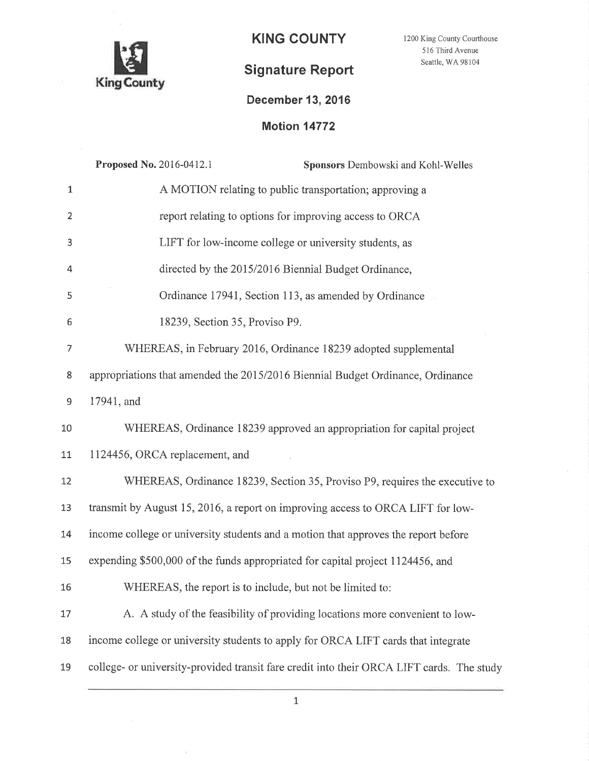

 $\bar{\rm Z}$ 

 $\mathbf{Y}$ 

1200 King County Courthouse 516 Third Avenue Seattle, WA 98104

### December 13,2016

**Motion 14772** 

|                | Proposed No. 2016-0412.1<br>Sponsors Dembowski and Kohl-Welles                            |
|----------------|-------------------------------------------------------------------------------------------|
| $\mathbf 1$    | A MOTION relating to public transportation; approving a                                   |
| $\overline{2}$ | report relating to options for improving access to ORCA                                   |
| 3              | LIFT for low-income college or university students, as                                    |
| 4              | directed by the 2015/2016 Biennial Budget Ordinance,                                      |
| 5              | Ordinance 17941, Section 113, as amended by Ordinance                                     |
| 6              | 18239, Section 35, Proviso P9.                                                            |
| 7              | WHEREAS, in February 2016, Ordinance 18239 adopted supplemental                           |
| 8              | appropriations that amended the 2015/2016 Biennial Budget Ordinance, Ordinance            |
| $\mathsf 9$    | 17941, and                                                                                |
| 10             | WHEREAS, Ordinance 18239 approved an appropriation for capital project                    |
| 11             | 1124456, ORCA replacement, and                                                            |
| 12             | WHEREAS, Ordinance 18239, Section 35, Proviso P9, requires the executive to               |
| 13             | transmit by August 15, 2016, a report on improving access to ORCA LIFT for low-           |
| 14             | income college or university students and a motion that approves the report before        |
| 15             | expending \$500,000 of the funds appropriated for capital project 1124456, and            |
| 16             | WHEREAS, the report is to include, but not be limited to:                                 |
| 17             | A. A study of the feasibility of providing locations more convenient to low-              |
| 18             | income college or university students to apply for ORCA LIFT cards that integrate         |
| 19             | college- or university-provided transit fare credit into their ORCA LIFT cards. The study |
|                |                                                                                           |

 $\mathbf 1$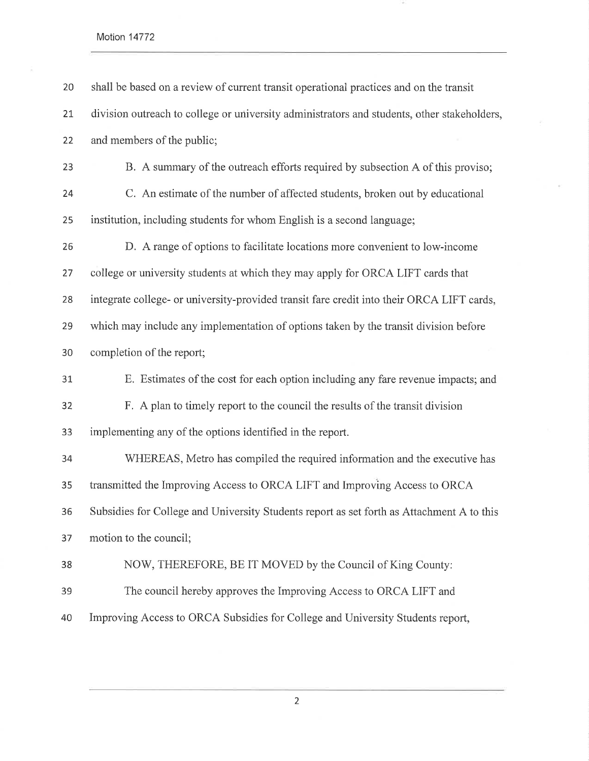Motion 14772

| 20 | shall be based on a review of current transit operational practices and on the transit      |
|----|---------------------------------------------------------------------------------------------|
| 21 | division outreach to college or university administrators and students, other stakeholders, |
| 22 | and members of the public;                                                                  |
| 23 | B. A summary of the outreach efforts required by subsection A of this proviso;              |
| 24 | C. An estimate of the number of affected students, broken out by educational                |
| 25 | institution, including students for whom English is a second language;                      |
| 26 | D. A range of options to facilitate locations more convenient to low-income                 |
| 27 | college or university students at which they may apply for ORCA LIFT cards that             |
| 28 | integrate college- or university-provided transit fare credit into their ORCA LIFT cards,   |
| 29 | which may include any implementation of options taken by the transit division before        |
| 30 | completion of the report;                                                                   |
| 31 | E. Estimates of the cost for each option including any fare revenue impacts; and            |
| 32 | F. A plan to timely report to the council the results of the transit division               |
| 33 | implementing any of the options identified in the report.                                   |
| 34 | WHEREAS, Metro has compiled the required information and the executive has                  |
| 35 | transmitted the Improving Access to ORCA LIFT and Improving Access to ORCA                  |
| 36 | Subsidies for College and University Students report as set forth as Attachment A to this   |
| 37 | motion to the council;                                                                      |
| 38 | NOW, THEREFORE, BE IT MOVED by the Council of King County:                                  |
| 39 | The council hereby approves the Improving Access to ORCA LIFT and                           |
| 40 | Improving Access to ORCA Subsidies for College and University Students report,              |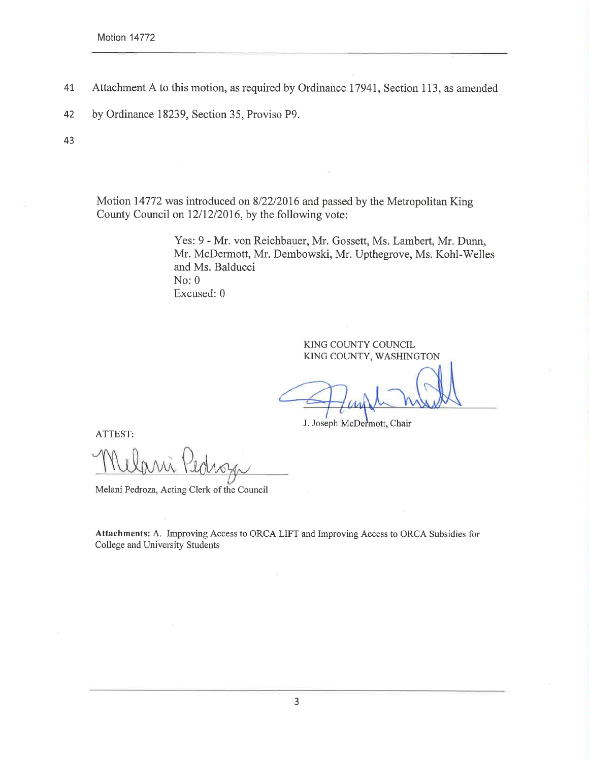- 4t Attachment A to this motion, as required by Ordinance I794I, Section 113, as amended
- 42 by Ordinance 18239, Section 35, Proviso P9.

43

Motion 14772 was introduced on 8/22/2016 and passed by the Metropolitan King County Council on 12/12/2016, by the following vote:

> Yes: 9 - Mr. von Reichbauer, Mr. Gossett, Ms. Lambert, Mr. Dunn, Mr. McDermott, Mr. Dembowski, Mr. Upthegrove, Ms. Kohl-Welles and Ms. Balducci No:0 Excused:0

> > KING COUNTY COUNCIL KING COUNTY, WASHINGTON

J. Joseph McDermott, Chair

ATTEST:

Melani Pedroza, Acting Clerk of the Council

Attachments: A. Improving Access to ORCA LIFT and Improving Access to ORCA Subsidies for College and University Students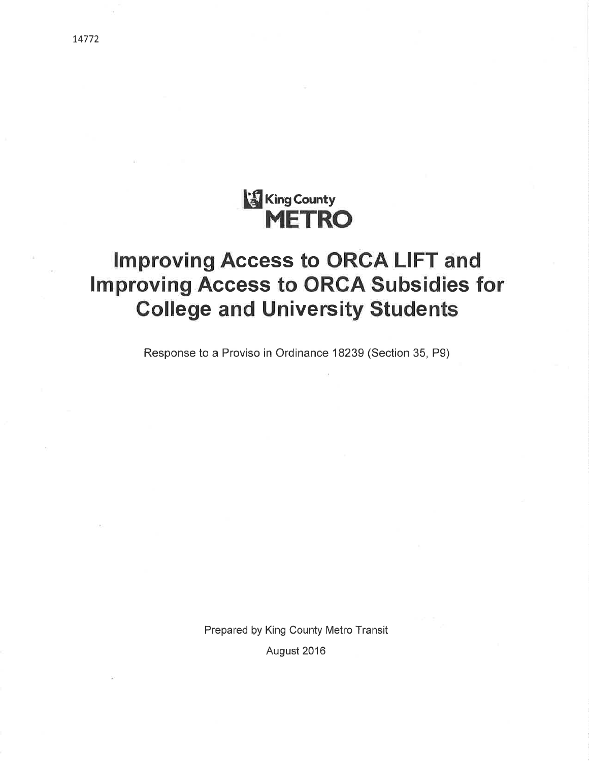## **King County** METRO

# Improving Access to ORCA LIFT and lmproving Access to ORCA Subsidies for College and University Students

Response to a Proviso in Ordinance 18239 (Section 35, Pg)

Prepared þy King County Metro Transit August 2016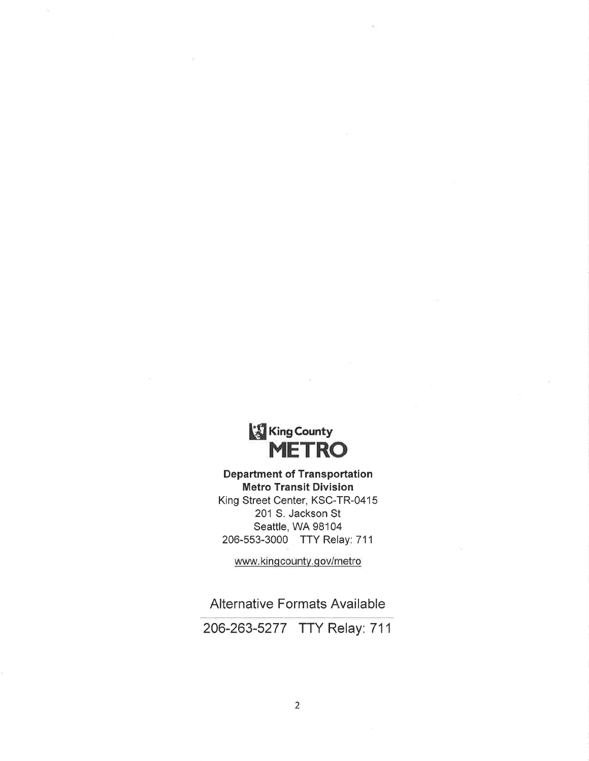

Department of Transportation Metro Transit Division King Street Center, KSC-TR-O415 201 S. Jackson St Seattle, WA 98104 206-553-3000 TTY Relay: 711

www.kingcounty.gov/metro

Alternative Formats Available

206-263-5277 TTY Relay: 711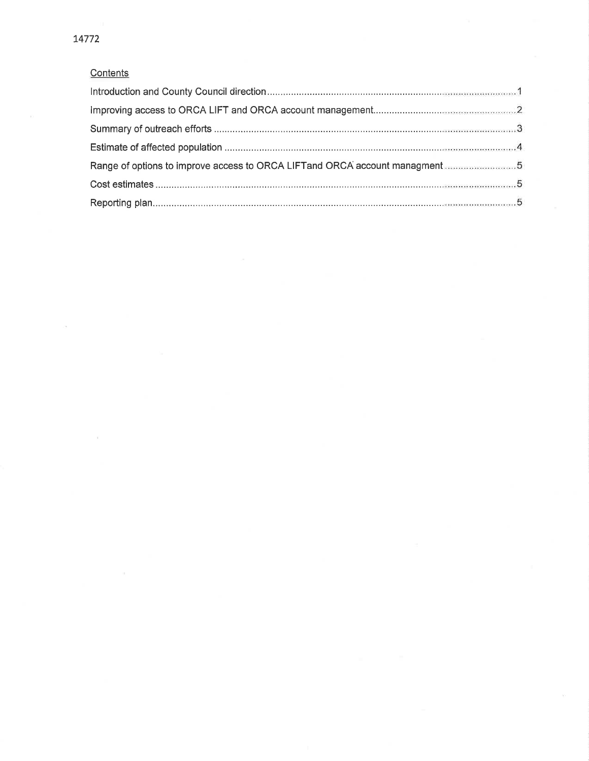### **Contents**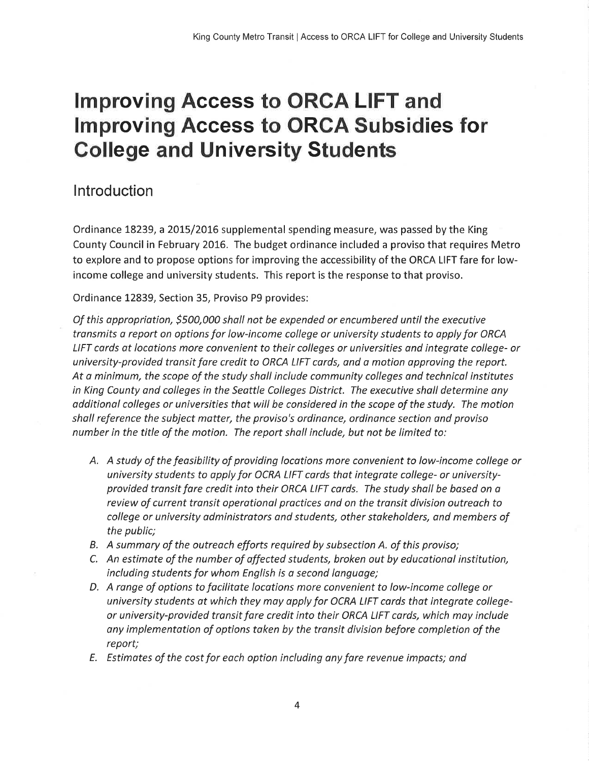# Improving Access to ORCA LIFT and **Improving Access to ORCA Subsidies for** Gollege and University Students

### Introduction

Ordinance 18239, a 2015/2016 supplemental spending measure, was passed by the King County Council in February 2016. The budget ordinance included a proviso that requires Metro to explore and to propose options for improving the accessibility of the ORCA LIFT fare for lowincome college and university students. This report is the response to that proviso.

Ordinance 12839, Section 35, Proviso P9 provides:

Of this oppropriotion, 5500,000 shall not be expended or encumbered until the executive transmits a report on options for low-income college or university students to apply for ORCA LIFT cards at locations more convenient to their colleges or universities and integrate college- or university-provided tronsit fore credit to ORCA LIFT cords, and a motion approving the report. At o minimum, the scope of the study shall include community colleges and technical institutes in King County and colleges in the Seottle Colleges District. The executive shall determine any odditionol colleges or universities that will be considered in the scope of the study. The motion sholl reference the subject matter, the proviso's ordinonce, ordinance section and proviso number in the title of the motion. The report sholl include, but not be limited to:

- A. A study of the feasibility of providing locations more convenient to low-income college or university students to opply for OCRA LIFT cards that integrate college- or universityprovided transit fare credit into their ORCA LIFT cards. The study shall be based on a review of current transit operational practices and on the transit division outreach to college or university administrators and students, other stakeholders, and members of the public;
- B. A summary of the outreach efforts required by subsection A. of this proviso;
- C. An estimote of the number of affected students, broken out by educotionol institution, including students for whom English is a second language;
- D. A range of options to focilitate locations more convenient to low-income college or university students at which they may apply for OCRA LIFT cards that integrate collegeor university-provided transit fare credit into their ORCA LIFT cards, which moy include any implementation of options taken by the transit division before completion of the report;
- E. Estimotes of the cost for eoch option including ony fare revenue impocts; ond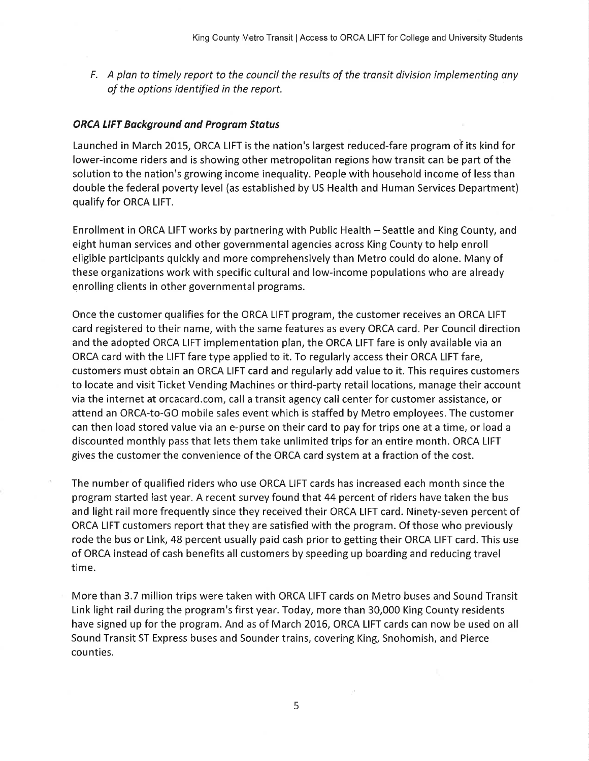F. A plan to timely report to the council the results of the transit division implementing any of the options identified in the report.

#### ORCA LIFT Bøckground and Progrøm Stotus

Launched in March 2015, ORCA LIFT is the nation's largest reduced-fare program of its kind for lower-income riders and is showing other metropolitan regions how transit can be part of the solution to the nation's growing income inequality. People with household income of less than double the federal poverty level (as established by US Health and Human Services Department) qualify for ORCA LIFT.

Enrollment in ORCA LIFT works by partnering with Public Health - Seattle and King County, and eight human services and other governmental agencies across King County to help enroll eligible participants quickly and more comprehensively than Metro could do alone. Many of these organizations work with specific cultural and low-income populations who are already enrolling clients in other governmental programs.

Once the customer qualifies for the ORCA LIFT program, the customer receives an ORCA LIFT card registered to their name, with the same features as every ORCA card. Per Council direction and the adopted ORCA LIFT implementation plan, the ORCA LIFT fare is only available via an ORCA card with the LIFT fare type applied to it. To regularly access their ORCA LIFT fare, customers must obtain an ORCA LIFT card and regularly add value to it. This requires customers to locate and visit Ticket Vending Machines or third-party retail locations, manage their account via the internet at orcacard.com, call a transit agency call center for customer assistance, or attend an ORCA-to-GO mobile sales event which is staffed by Metro employees, The customer can then load stored value via an e-purse on their card to pay for trips one at a time, or load <sup>a</sup> discounted monthly pass that lets them take unlimited trips for an entire month. ORCA LIFT gives the customer the convenience of the ORCA card system at a fraction of the cost.

The number of qualified riders who use ORCA LIFT cards has increased each month since the program started last year. A recent survey found that 44 percent of riders have taken the bus and light rail more frequently since they received their ORCA LIFT card. Ninety-seven percent of ORCA LIFT customers report that they are satisfied with the program. Of those who previously rode the bus or Link, 48 percent usually paid cash prior to getting their ORCA LIFT card. This use of ORCA instead of cash benefits all customers by speeding up boarding and reducing travel time.

More than 3.7 million trips were taken with ORCA LIFT cards on Metro buses and Sound Transit Link light rail during the program's first year. Today, more than 30,000 King County residents have signed up for the program. And as of March 2016, ORCA LIFT cards can now be used on all Sound Transit ST Express buses and Sounder trains, covering King, Snohomish, and Pierce counties.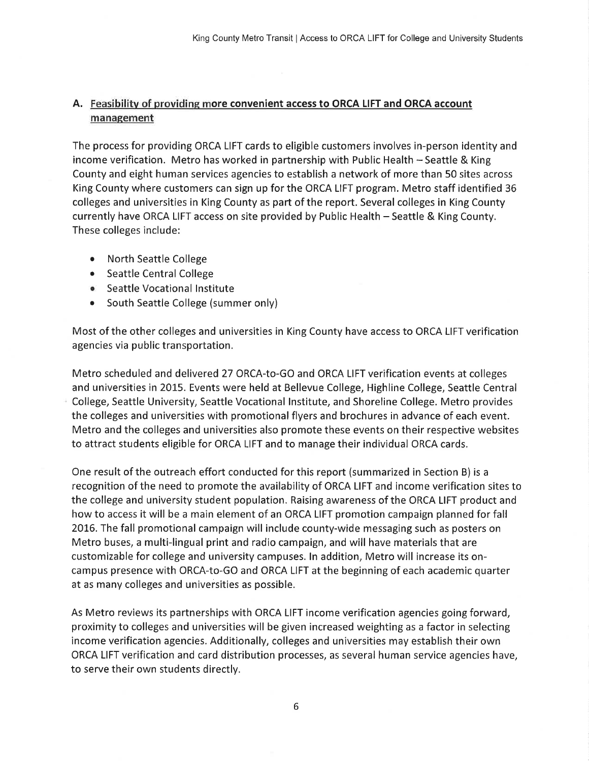### A. Feasibilitv of providine more convenient access to ORCA LIFT and ORCA account management

The process for providing ORCA LIFT cards to eligible customers involves in-person identity and income verification. Metro has worked in partnership with Public Health - Seattle & King County and eight human services agencies to establish a network of more than 50 sites across King County where customers can sign up for the ORCA LIFT program. Metro staff identified 36 colleges and universities in King County as part of the report. Several colleges in King County currently have ORCA LIFT access on site provided by Public Health - Seattle & King County. These colleges include:

- North Seattle College
- Seattle Central College
- o Seattle Vocational lnstitute
- South Seattle College (summer only)

Most of the other colleges and universities in King County have access to ORCA LIFT verification agencies via public transportation.

Metro scheduled and delivered 27 ORCA-to-GO and ORCA LIFT verification events at colleges and universities in 20L5. Events were held at Bellevue College, Highline College, Seattle Central College, Seattle University, Seattle Vocational lnstitute, and Shoreline College. Metro provides the colleges and universities with promotional flyers and brochures in advance of each event. Metro and the colleges and universities also promote these events on their respective websites to attract students eligible for ORCA LIFT and to manage their individual ORCA cards.

One result of the outreach effort conducted forthis report (summarized in Section B) is <sup>a</sup> recognition of the need to promote the availability of ORCA LIFT and income verification sites to the college and university student population. Raising awareness of the ORCA LIFT product and how to access it will be a main element of an ORCA LIFT promotion campaign planned for fall 2016. The fall promotional campaign will include county-wide messaging such as posters on Metro buses, a multi-lingual print and radio campaign, and will have materials that are customizable for college and university campuses. ln addition, Metro will increase its oncampus presence with ORCA-to-GO and ORCA LIFT at the beginning of each academic quarter at as many colleges and universities as possible.

As Metro reviews its partnerships with ORCA LIFT income verification agencies going forward, proximity to colleges and universities will be given increased weighting as a factor in selecting income verification agencies. Additionally, colleges and universities may establish their own ORCA LIFT verification and card distribution processes, as several human service agencies have, to serve their own students directly.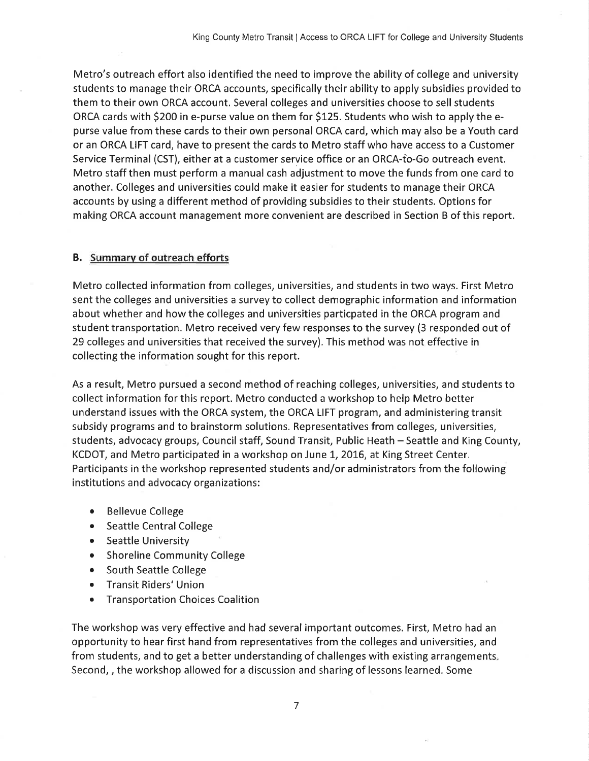Metro's outreach effort also identified the need to improve the ability of college and university students to manage their ORCA accounts, specifically their ability to apply subsidies provided to them to their own ORCA account. Several colleges and universities choose to sell students ORCA cards with 5200 in e-purse value on them for \$125. Students who wish to apply the epurse value from these cards to their own personal ORCA card, which may also be a Youth card or an ORCA LIFT card, have to present the cards to Metro staff who have access to a Customer Service Terminal (CST), either at a customer service office or an ORCA-to-Go outreach event. Metro staff then must perform a manual cash adjustment to move the funds from one card to another. Colleges and universities could make it easier for students to manage their ORCA accounts by using a different method of providing subsidies to their students. Options for making ORCA account management more convenient are described in Section B of this report.

#### B. Summarv of outreach efforts

Metro collected information from colleges, universities, and students in two ways. First Metro sent the colleges and universities a survey to collect demographic information and information about whether and howthe colleges and universities particpated in the ORCA program and student transportation. Metro received very few responses to the survey (3 responded out of 29 colleges and universities that received the survey), This method was not effective in collecting the information sought for this report.

As a result, Metro pursued a second method of reaching colleges, universities, and students to collect information for this report. Metro conducted a workshop to help Metro better understand issues with the ORCA system, the ORCA LIFT program, and administering transit subsidy programs and to brainstorm solutions. Representatives from colleges, universities, students, advocacy groups, Council staff, Sound Transit, Public Heath - Seattle and King County, KCDOT, and Metro participated in a workshop on June 1, 2016, at King Street Center. Participants in the workshop represented students and/or administrators from the following institutions and advocacy organizations:

- Bellevue College
- Seattle Central College
- Seattle University
- Shoreline Community College
- South Seattle College
- o Transit Riders'Union
- Transportation Choices Coalition

The workshop was very effective and had several important outcomes. First, Metro had an opportunity to hear first hand from representatives from the colleges and universities, and from students, and to get a better understanding of challenges with existing arrangements Second, , the workshop allowed for a discussion and sharing of lessons learned. Some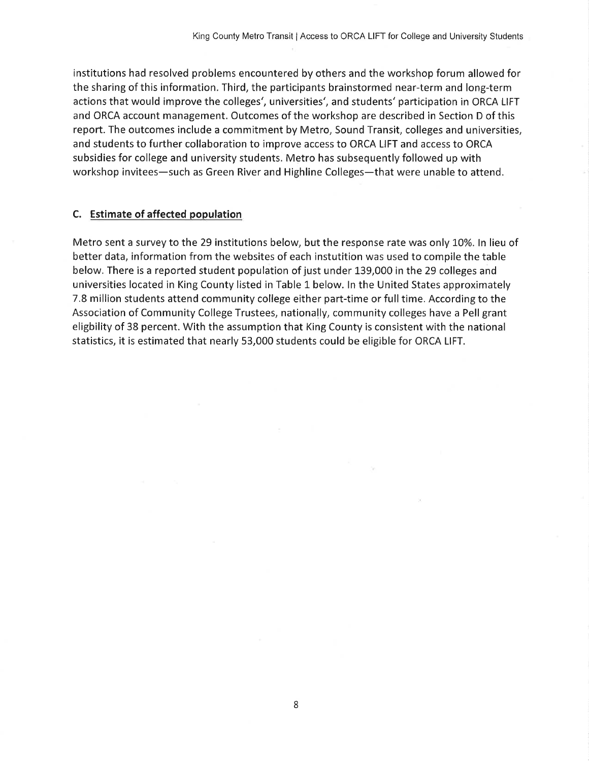institutions had resolved problems encountered by others and the workshop forum allowed for the sharing of this information. Third, the participants brainstormed near-term and long-term actions that would improve the colleges', universities', and students'participation in ORCA LIFT and ORCA account management. Outcomes of the workshop are described in Section D of this report. The outcomes include a commitment by Metro, Sound Transit, colleges and universities, and students to further collaboration to improve access to ORCA LIFT and access to ORCA subsidies for college and university students. Metro has subsequently followed up with workshop invitees-such as Green River and Highline Colleges-that were unable to attend.

#### C. Estimate of affected population

Metro sent a survey to the 29 institutions below, but the response rate was only 10%. In lieu of better data, information from the websites of each instutition was used to compile the table below. There is a reported student population of just under 139,OOO in the 29 colleges and universities located in King County listed in Table 1 below. ln the United States approximately 7.8 million students attend community college either part-time or full time. According to the Association of Community College Trustees, nationally, community colleges have a Pell grant eligbility of 38 percent. With the assumption that King County is consistent with the national statistics, it is estimated that nearly 53,000 students could be eligible for ORCA LIFT.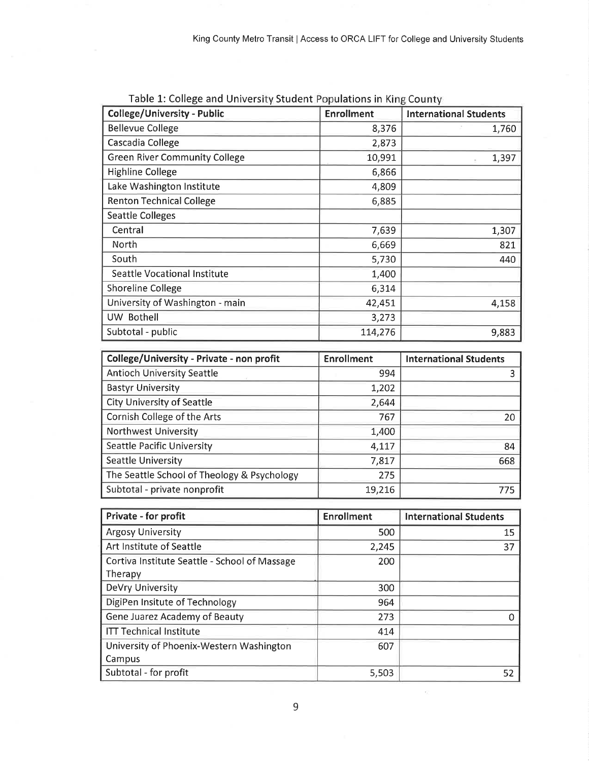| <b>College/University - Public</b>   | <b>Enrollment</b> | <b>International Students</b> |
|--------------------------------------|-------------------|-------------------------------|
| <b>Bellevue College</b>              | 8,376             | 1,760                         |
| Cascadia College                     | 2,873             |                               |
| <b>Green River Community College</b> | 10,991            | 1,397                         |
| <b>Highline College</b>              | 6,866             |                               |
| Lake Washington Institute            | 4,809             |                               |
| <b>Renton Technical College</b>      | 6,885             |                               |
| <b>Seattle Colleges</b>              |                   |                               |
| Central                              | 7,639             | 1,307                         |
| North                                | 6,669             | 821                           |
| South                                | 5,730             | 440                           |
| Seattle Vocational Institute         | 1,400             |                               |
| <b>Shoreline College</b>             | 6,314             |                               |
| University of Washington - main      | 42,451            | 4,158                         |
| UW Bothell                           | 3,273             |                               |
| Subtotal - public                    | 114,276           | 9,883                         |

| Table 1: College and University Student Populations in King County |  |  |
|--------------------------------------------------------------------|--|--|
|--------------------------------------------------------------------|--|--|

| College/University - Private - non profit   | <b>Enrollment</b> | <b>International Students</b> |
|---------------------------------------------|-------------------|-------------------------------|
| <b>Antioch University Seattle</b>           | 994               |                               |
| <b>Bastyr University</b>                    | 1,202             |                               |
| <b>City University of Seattle</b>           | 2,644             |                               |
| Cornish College of the Arts                 | 767               | 20                            |
| <b>Northwest University</b>                 | 1,400             |                               |
| Seattle Pacific University                  | 4,117             | 84                            |
| Seattle University                          | 7,817             | 668                           |
| The Seattle School of Theology & Psychology | 275               |                               |
| Subtotal - private nonprofit                | 19,216            | 775                           |

| Private - for profit                          | <b>Enrollment</b> | <b>International Students</b> |
|-----------------------------------------------|-------------------|-------------------------------|
| <b>Argosy University</b>                      | 500               | 15                            |
| Art Institute of Seattle                      | 2,245             | 37                            |
| Cortiva Institute Seattle - School of Massage | 200               |                               |
| Therapy                                       |                   |                               |
| DeVry University                              | 300               |                               |
| DigiPen Insitute of Technology                | 964               |                               |
| Gene Juarez Academy of Beauty                 | 273               | Ω                             |
| <b>ITT Technical Institute</b>                | 414               |                               |
| University of Phoenix-Western Washington      | 607               |                               |
| Campus                                        |                   |                               |
| Subtotal - for profit                         | 5,503             | 52                            |

 $\tilde{\mathcal{C}}$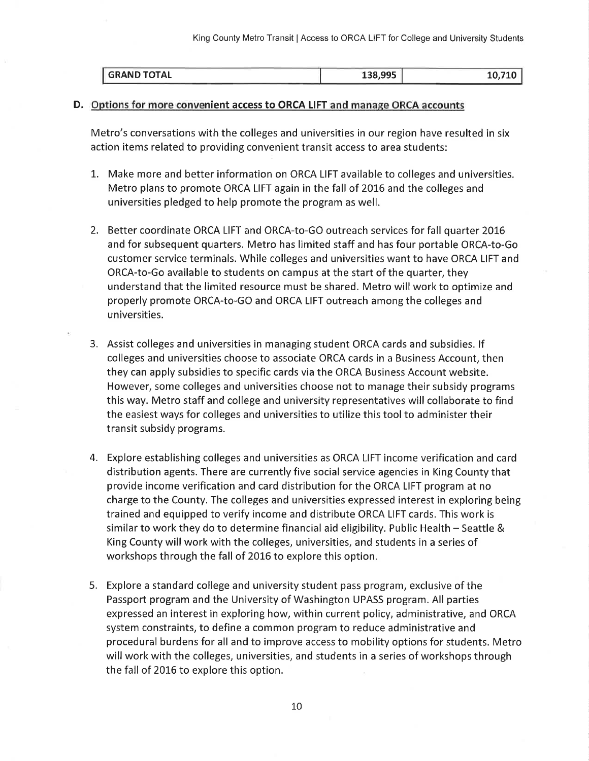| GRAND TOTAL | 40724  |
|-------------|--------|
| 138,995     | 10.710 |

#### D. Options for more convenient access to ORCA LIFT and manage ORCA accounts

Metro's conversations with the colleges and universities in our region have resulted in six action items related to providing convenient transit access to area students:

- L. Make more and better information on ORCA LIFT available to colleges and universities. Metro plans to promote ORCA LIFT again in the fall of 2016 and the colleges and universities pledged to help promote the program as well.
- 2. Better coordinate ORCA LIFT and ORCA-to-GO outreach services for fall quarter 20L6 and for subsequent quarters. Metro has limited staff and has four portable ORCA-to-Go customer service terminals. While colleges and universities want to have ORCA LIFT and ORCA-to-Go available to students on campus at the start of the quarter, they understand that the limited resource must be shared. Metro will work to optimize and properly promote ORCA-to-GO and ORCA LIFT outreach among the colleges and universities.
- 3. Assist colleges and universities in managing student ORCA cards and subsidies. lf colleges and universities choose to associate ORCA cards in a Business Account, then they can apply subsidies to specific cards via the ORCA Business Account website. However, some colleges and universities choose not to manage their subsidy programs this way. Metro staff and college and university representatives will collaborate to find the easiest ways for colleges and universities to utilize this toolto administer their transit subsidy programs.
- 4. Explore establishing colleges and universities as ORCA LIFT income verification and card distribution agents. There are currently five social service agencies in King County that provide income verification and card distribution for the ORCA LIFT program at no charge to the County. The colleges and universities expressed interest in exploring being trained and equipped to verify income and distribute ORCA LIFT cards. This work is similar to work they do to determine financial aid eligibility. Public Health  $-$  Seattle & King County will work with the colleges, universities, and students in a series of workshops through the fall of 2016 to explore this option.
- 5. Explore a standard college and university student pass program, exclusive of the Passport program and the University of Washington UPASS program. All parties expressed an interest in exploring how, within current policy, administrative, and ORCA system constraints, to define a common program to reduce administrative and procedural burdens for all and to improve access to mobility options for students. Metro will work with the colleges, universities, and students in a series of workshops through the fall of 2016 to explore this option.